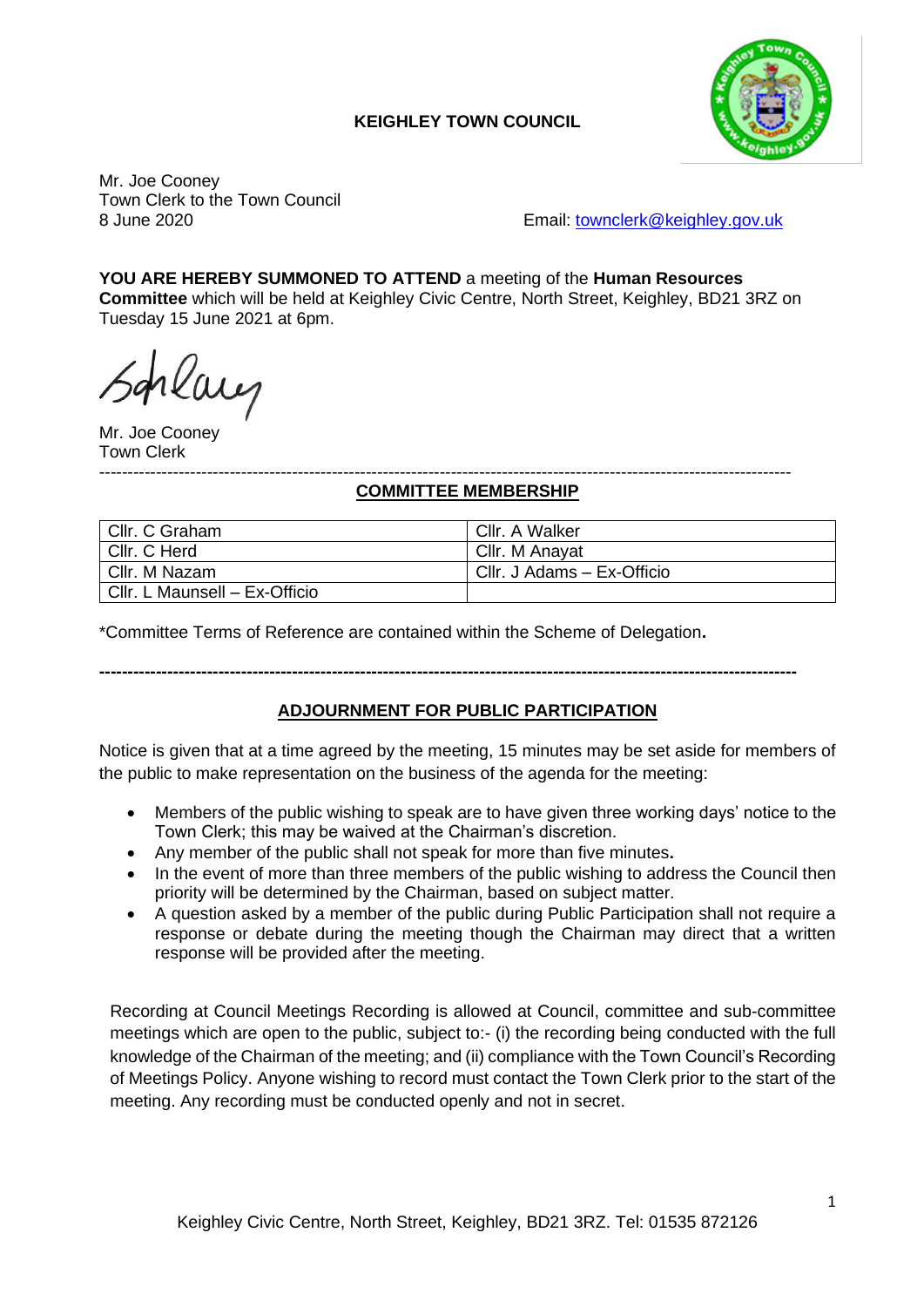# **KEIGHLEY TOWN COUNCIL**



Mr. Joe Cooney Town Clerk to the Town Council

8 June 2020 **Email:** [townclerk@keighley.gov.uk](mailto:townclerk@keighley.gov.uk)

#### **YOU ARE HEREBY SUMMONED TO ATTEND** a meeting of the **Human Resources Committee** which will be held at Keighley Civic Centre, North Street, Keighley, BD21 3RZ on

Tuesday 15 June 2021 at 6pm.

rlang

Mr. Joe Cooney Town Clerk

#### -------------------------------------------------------------------------------------------------------------------------- **COMMITTEE MEMBERSHIP**

| Cllr. C Graham                | Cllr. A Walker             |
|-------------------------------|----------------------------|
| Cllr. C Herd                  | Cllr. M Anavat             |
| Cllr. M Nazam                 | Cllr. J Adams - Ex-Officio |
| Cllr. L Maunsell - Ex-Officio |                            |

\*Committee Terms of Reference are contained within the Scheme of Delegation**.**

# **ADJOURNMENT FOR PUBLIC PARTICIPATION**

**---------------------------------------------------------------------------------------------------------------------------**

Notice is given that at a time agreed by the meeting, 15 minutes may be set aside for members of the public to make representation on the business of the agenda for the meeting:

- Members of the public wishing to speak are to have given three working days' notice to the Town Clerk; this may be waived at the Chairman's discretion.
- Any member of the public shall not speak for more than five minutes**.**
- In the event of more than three members of the public wishing to address the Council then priority will be determined by the Chairman, based on subject matter.
- A question asked by a member of the public during Public Participation shall not require a response or debate during the meeting though the Chairman may direct that a written response will be provided after the meeting.

Recording at Council Meetings Recording is allowed at Council, committee and sub-committee meetings which are open to the public, subject to:- (i) the recording being conducted with the full knowledge of the Chairman of the meeting; and (ii) compliance with the Town Council's Recording of Meetings Policy. Anyone wishing to record must contact the Town Clerk prior to the start of the meeting. Any recording must be conducted openly and not in secret.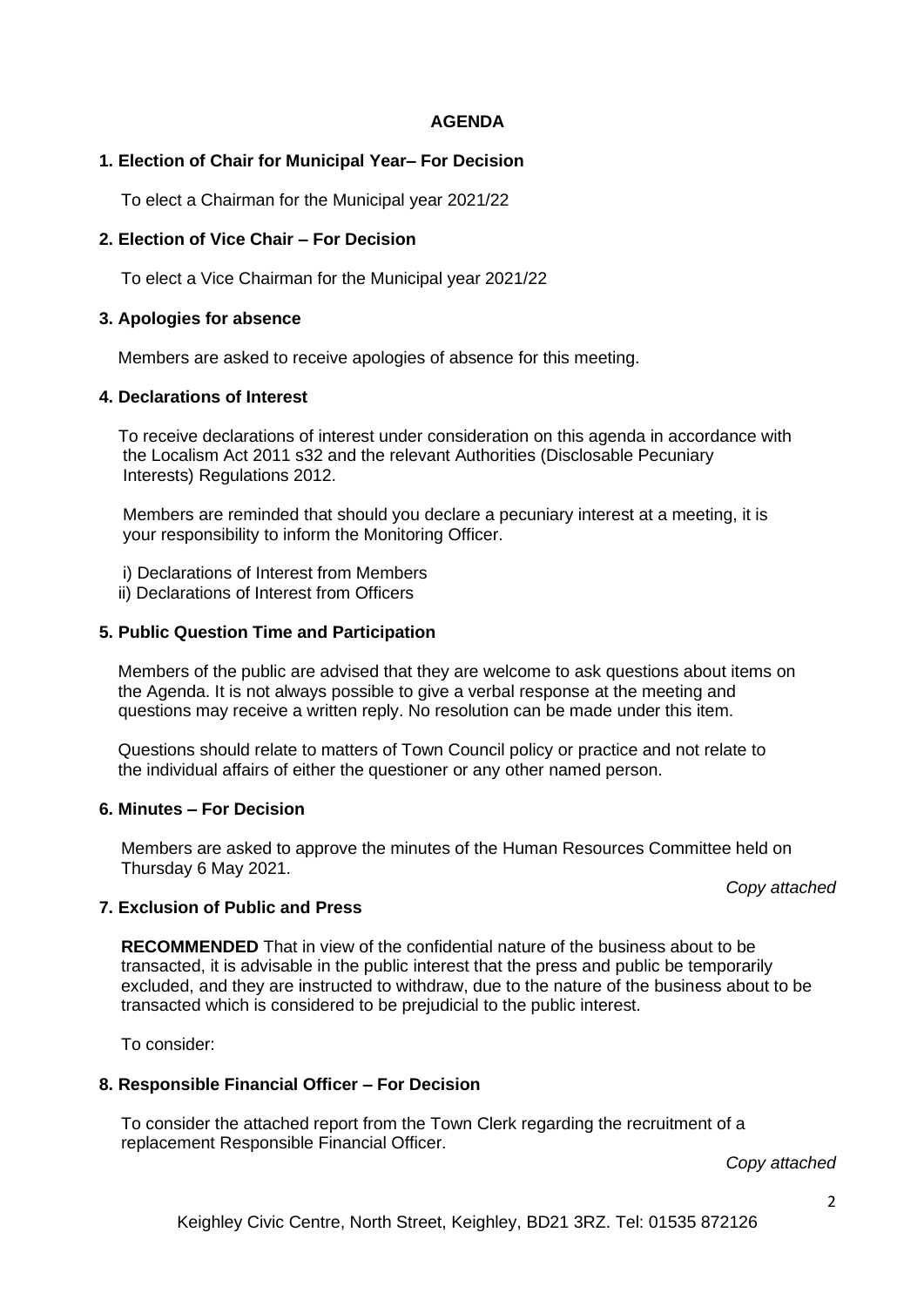#### **AGENDA**

### **1. Election of Chair for Municipal Year– For Decision**

To elect a Chairman for the Municipal year 2021/22

### **2. Election of Vice Chair – For Decision**

To elect a Vice Chairman for the Municipal year 2021/22

## **3. Apologies for absence**

Members are asked to receive apologies of absence for this meeting.

#### **4. Declarations of Interest**

 To receive declarations of interest under consideration on this agenda in accordance with the Localism Act 2011 s32 and the relevant Authorities (Disclosable Pecuniary Interests) Regulations 2012.

 Members are reminded that should you declare a pecuniary interest at a meeting, it is your responsibility to inform the Monitoring Officer.

- i) Declarations of Interest from Members
- ii) Declarations of Interest from Officers

#### **5. Public Question Time and Participation**

 Members of the public are advised that they are welcome to ask questions about items on the Agenda. It is not always possible to give a verbal response at the meeting and questions may receive a written reply. No resolution can be made under this item.

 Questions should relate to matters of Town Council policy or practice and not relate to the individual affairs of either the questioner or any other named person.

#### **6. Minutes – For Decision**

Members are asked to approve the minutes of the Human Resources Committee held on Thursday 6 May 2021.

*Copy attached*

#### **7. Exclusion of Public and Press**

**RECOMMENDED** That in view of the confidential nature of the business about to be transacted, it is advisable in the public interest that the press and public be temporarily excluded, and they are instructed to withdraw, due to the nature of the business about to be transacted which is considered to be prejudicial to the public interest.

To consider:

# **8. Responsible Financial Officer – For Decision**

To consider the attached report from the Town Clerk regarding the recruitment of a replacement Responsible Financial Officer.

*Copy attached*